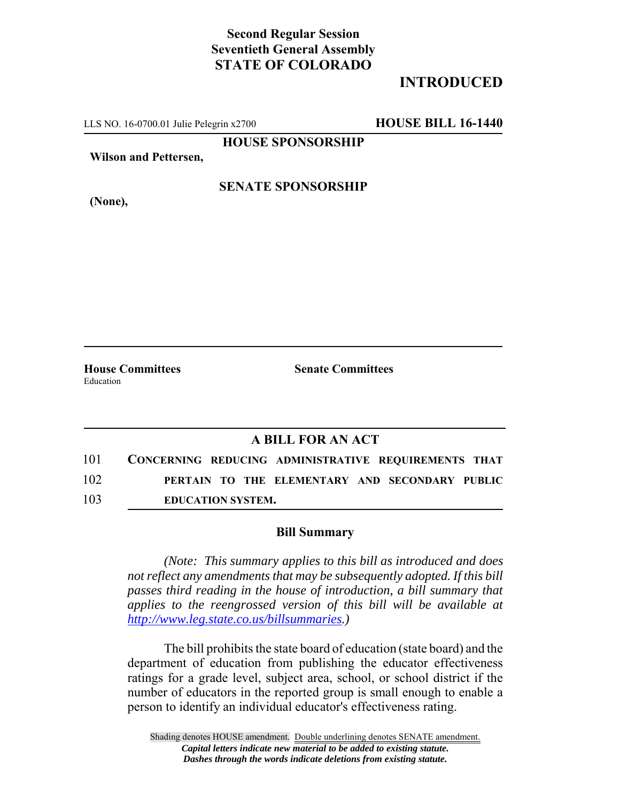## **Second Regular Session Seventieth General Assembly STATE OF COLORADO**

# **INTRODUCED**

LLS NO. 16-0700.01 Julie Pelegrin x2700 **HOUSE BILL 16-1440**

**HOUSE SPONSORSHIP**

**Wilson and Pettersen,**

**(None),**

### **SENATE SPONSORSHIP**

Education

**House Committees Senate Committees** 

### **A BILL FOR AN ACT**

| 101 | CONCERNING REDUCING ADMINISTRATIVE REQUIREMENTS THAT |  |  |
|-----|------------------------------------------------------|--|--|
| 102 | PERTAIN TO THE ELEMENTARY AND SECONDARY PUBLIC       |  |  |
| 103 | <b>EDUCATION SYSTEM.</b>                             |  |  |

#### **Bill Summary**

*(Note: This summary applies to this bill as introduced and does not reflect any amendments that may be subsequently adopted. If this bill passes third reading in the house of introduction, a bill summary that applies to the reengrossed version of this bill will be available at http://www.leg.state.co.us/billsummaries.)*

The bill prohibits the state board of education (state board) and the department of education from publishing the educator effectiveness ratings for a grade level, subject area, school, or school district if the number of educators in the reported group is small enough to enable a person to identify an individual educator's effectiveness rating.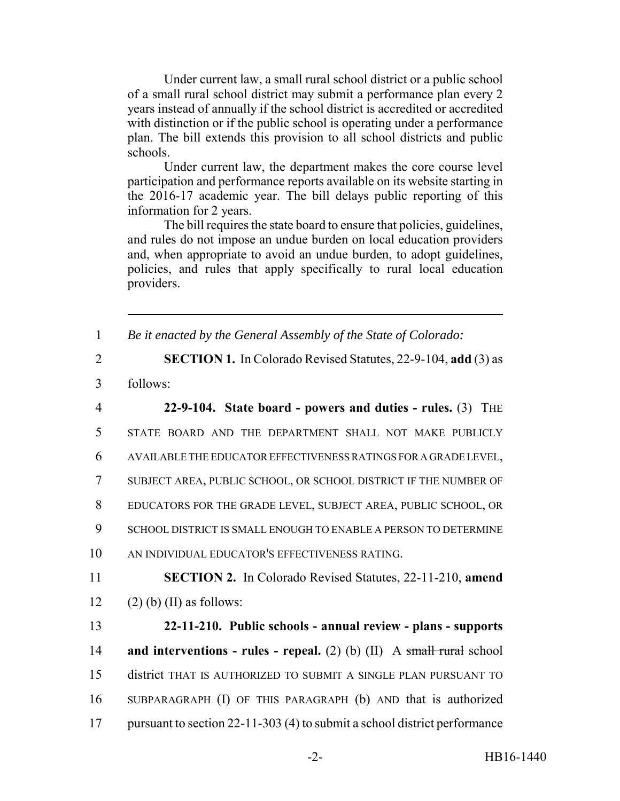Under current law, a small rural school district or a public school of a small rural school district may submit a performance plan every 2 years instead of annually if the school district is accredited or accredited with distinction or if the public school is operating under a performance plan. The bill extends this provision to all school districts and public schools.

Under current law, the department makes the core course level participation and performance reports available on its website starting in the 2016-17 academic year. The bill delays public reporting of this information for 2 years.

The bill requires the state board to ensure that policies, guidelines, and rules do not impose an undue burden on local education providers and, when appropriate to avoid an undue burden, to adopt guidelines, policies, and rules that apply specifically to rural local education providers.

1 *Be it enacted by the General Assembly of the State of Colorado:*

2 **SECTION 1.** In Colorado Revised Statutes, 22-9-104, **add** (3) as

3 follows:

 **22-9-104. State board - powers and duties - rules.** (3) THE STATE BOARD AND THE DEPARTMENT SHALL NOT MAKE PUBLICLY AVAILABLE THE EDUCATOR EFFECTIVENESS RATINGS FOR A GRADE LEVEL, SUBJECT AREA, PUBLIC SCHOOL, OR SCHOOL DISTRICT IF THE NUMBER OF EDUCATORS FOR THE GRADE LEVEL, SUBJECT AREA, PUBLIC SCHOOL, OR SCHOOL DISTRICT IS SMALL ENOUGH TO ENABLE A PERSON TO DETERMINE AN INDIVIDUAL EDUCATOR'S EFFECTIVENESS RATING. **SECTION 2.** In Colorado Revised Statutes, 22-11-210, **amend** 12 (2) (b) (II) as follows: **22-11-210. Public schools - annual review - plans - supports and interventions - rules - repeal.** (2) (b) (II) A small rural school district THAT IS AUTHORIZED TO SUBMIT A SINGLE PLAN PURSUANT TO

17 pursuant to section 22-11-303 (4) to submit a school district performance

16 SUBPARAGRAPH (I) OF THIS PARAGRAPH (b) AND that is authorized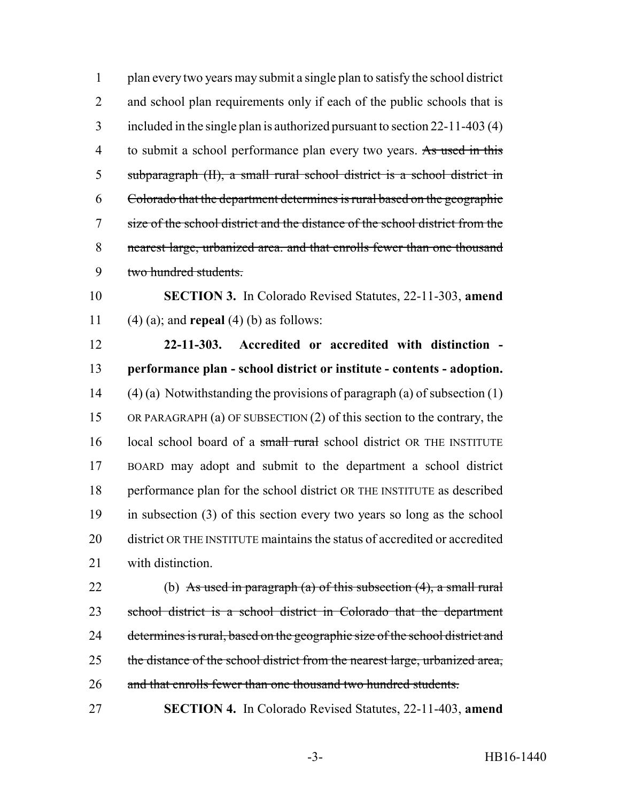plan every two years may submit a single plan to satisfy the school district 2 and school plan requirements only if each of the public schools that is included in the single plan is authorized pursuant to section 22-11-403 (4) 4 to submit a school performance plan every two years. As used in this subparagraph (II), a small rural school district is a school district in Colorado that the department determines is rural based on the geographic size of the school district and the distance of the school district from the nearest large, urbanized area. and that enrolls fewer than one thousand two hundred students.

 **SECTION 3.** In Colorado Revised Statutes, 22-11-303, **amend** (4) (a); and **repeal** (4) (b) as follows:

 **22-11-303. Accredited or accredited with distinction - performance plan - school district or institute - contents - adoption.** (4) (a) Notwithstanding the provisions of paragraph (a) of subsection (1) OR PARAGRAPH (a) OF SUBSECTION (2) of this section to the contrary, the 16 local school board of a small rural school district OR THE INSTITUTE BOARD may adopt and submit to the department a school district performance plan for the school district OR THE INSTITUTE as described in subsection (3) of this section every two years so long as the school district OR THE INSTITUTE maintains the status of accredited or accredited with distinction.

22 (b) As used in paragraph (a) of this subsection  $(4)$ , a small rural school district is a school district in Colorado that the department 24 determines is rural, based on the geographic size of the school district and 25 the distance of the school district from the nearest large, urbanized area, 26 and that enrolls fewer than one thousand two hundred students.

**SECTION 4.** In Colorado Revised Statutes, 22-11-403, **amend**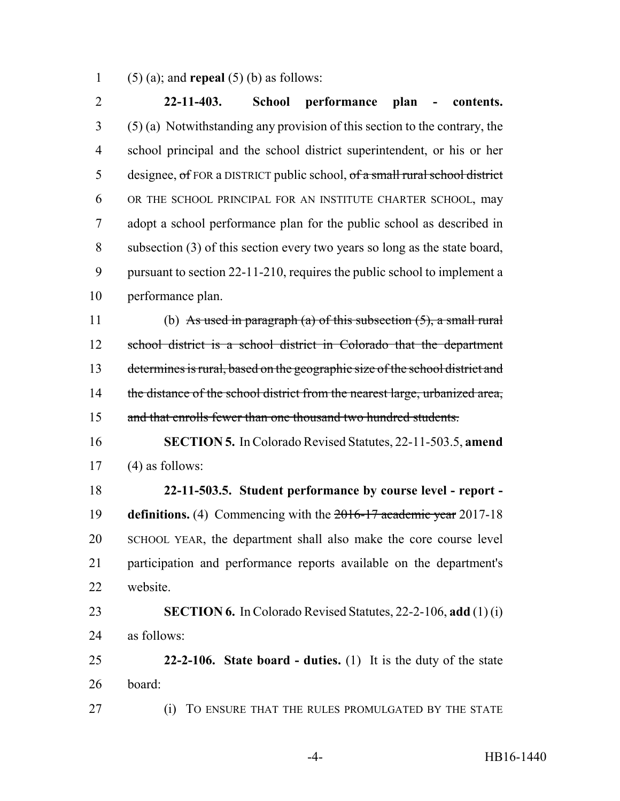(5) (a); and **repeal** (5) (b) as follows:

 **22-11-403. School performance plan - contents.** (5) (a) Notwithstanding any provision of this section to the contrary, the school principal and the school district superintendent, or his or her designee, of FOR a DISTRICT public school, of a small rural school district OR THE SCHOOL PRINCIPAL FOR AN INSTITUTE CHARTER SCHOOL, may adopt a school performance plan for the public school as described in subsection (3) of this section every two years so long as the state board, pursuant to section 22-11-210, requires the public school to implement a performance plan. 11 (b) As used in paragraph (a) of this subsection  $(5)$ , a small rural school district is a school district in Colorado that the department determines is rural, based on the geographic size of the school district and 14 the distance of the school district from the nearest large, urbanized area, 15 and that enrolls fewer than one thousand two hundred students. **SECTION 5.** In Colorado Revised Statutes, 22-11-503.5, **amend** (4) as follows: **22-11-503.5. Student performance by course level - report - definitions.** (4) Commencing with the 2016-17 academic year 2017-18 SCHOOL YEAR, the department shall also make the core course level participation and performance reports available on the department's website. **SECTION 6.** In Colorado Revised Statutes, 22-2-106, **add** (1) (i) as follows: **22-2-106. State board - duties.** (1) It is the duty of the state board: (i) TO ENSURE THAT THE RULES PROMULGATED BY THE STATE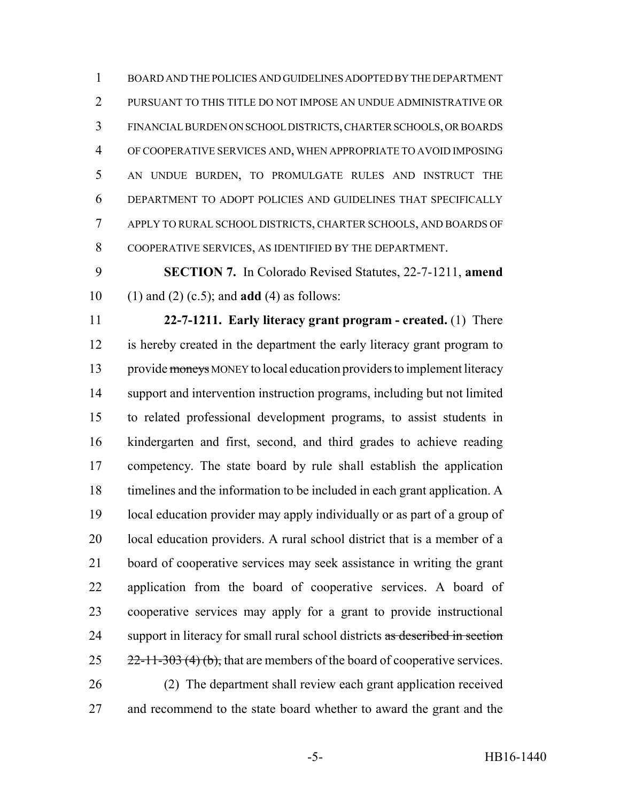BOARD AND THE POLICIES AND GUIDELINES ADOPTED BY THE DEPARTMENT PURSUANT TO THIS TITLE DO NOT IMPOSE AN UNDUE ADMINISTRATIVE OR FINANCIAL BURDEN ON SCHOOL DISTRICTS, CHARTER SCHOOLS, OR BOARDS OF COOPERATIVE SERVICES AND, WHEN APPROPRIATE TO AVOID IMPOSING AN UNDUE BURDEN, TO PROMULGATE RULES AND INSTRUCT THE DEPARTMENT TO ADOPT POLICIES AND GUIDELINES THAT SPECIFICALLY APPLY TO RURAL SCHOOL DISTRICTS, CHARTER SCHOOLS, AND BOARDS OF COOPERATIVE SERVICES, AS IDENTIFIED BY THE DEPARTMENT.

 **SECTION 7.** In Colorado Revised Statutes, 22-7-1211, **amend** (1) and (2) (c.5); and **add** (4) as follows:

 **22-7-1211. Early literacy grant program - created.** (1) There is hereby created in the department the early literacy grant program to 13 provide moneys MONEY to local education providers to implement literacy support and intervention instruction programs, including but not limited to related professional development programs, to assist students in kindergarten and first, second, and third grades to achieve reading competency. The state board by rule shall establish the application timelines and the information to be included in each grant application. A local education provider may apply individually or as part of a group of 20 local education providers. A rural school district that is a member of a board of cooperative services may seek assistance in writing the grant application from the board of cooperative services. A board of cooperative services may apply for a grant to provide instructional 24 support in literacy for small rural school districts as described in section  $25 \frac{22-11-303(4)(b)}{22}$ , that are members of the board of cooperative services. (2) The department shall review each grant application received

and recommend to the state board whether to award the grant and the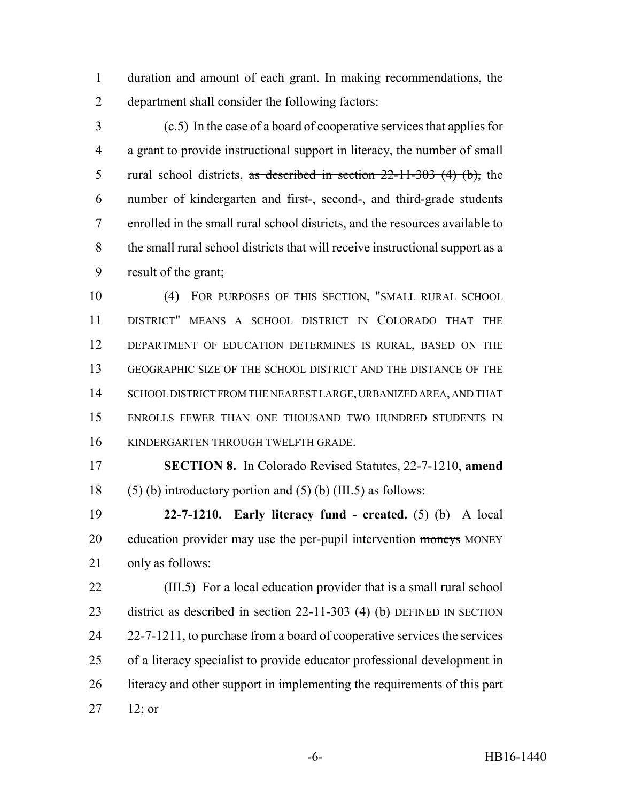duration and amount of each grant. In making recommendations, the department shall consider the following factors:

 (c.5) In the case of a board of cooperative services that applies for a grant to provide instructional support in literacy, the number of small 5 rural school districts, as described in section  $22-11-303$  (4) (b), the number of kindergarten and first-, second-, and third-grade students enrolled in the small rural school districts, and the resources available to the small rural school districts that will receive instructional support as a result of the grant;

 (4) FOR PURPOSES OF THIS SECTION, "SMALL RURAL SCHOOL DISTRICT" MEANS A SCHOOL DISTRICT IN COLORADO THAT THE DEPARTMENT OF EDUCATION DETERMINES IS RURAL, BASED ON THE GEOGRAPHIC SIZE OF THE SCHOOL DISTRICT AND THE DISTANCE OF THE SCHOOL DISTRICT FROM THE NEAREST LARGE, URBANIZED AREA, AND THAT ENROLLS FEWER THAN ONE THOUSAND TWO HUNDRED STUDENTS IN KINDERGARTEN THROUGH TWELFTH GRADE.

 **SECTION 8.** In Colorado Revised Statutes, 22-7-1210, **amend** 18 (5) (b) introductory portion and (5) (b) (III.5) as follows:

 **22-7-1210. Early literacy fund - created.** (5) (b) A local 20 education provider may use the per-pupil intervention moneys MONEY only as follows:

 (III.5) For a local education provider that is a small rural school 23 district as described in section  $22-11-303$  (4) (b) DEFINED IN SECTION 22-7-1211, to purchase from a board of cooperative services the services of a literacy specialist to provide educator professional development in 26 literacy and other support in implementing the requirements of this part 12; or